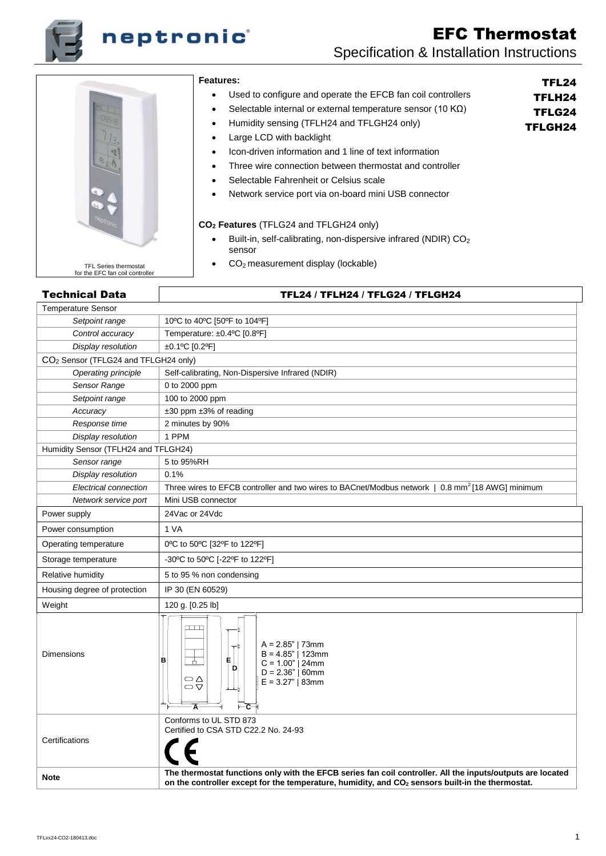

# neptronic

# EFC Thermostat Specification & Installation Instructions

TFL24 TFLH24 TFLG24 TFLGH24



#### **Features:**

- Used to configure and operate the EFCB fan coil controllers
- Selectable internal or external temperature sensor (10 KΩ)
	- Humidity sensing (TFLH24 and TFLGH24 only)
- Large LCD with backlight
- Icon-driven information and 1 line of text information
- Three wire connection between thermostat and controller
- Selectable Fahrenheit or Celsius scale
- Network service port via on-board mini USB connector

#### **CO<sup>2</sup> Features** (TFLG24 and TFLGH24 only)

- Built-in, self-calibrating, non-dispersive infrared (NDIR) CO<sup>2</sup> sensor
- CO2 measurement display (lockable)

# Technical Data TFL24 / TFLH24 / TFLG24 / TFLGH24

#### Temperature Sensor *Setpoint range* 10ºC to 40ºC [50ºF to 104ºF] *Control accuracy* Temperature: ±0.4ºC [0.8ºF] *Display resolution* ±0.1ºC [0.2ºF] CO<sup>2</sup> Sensor (TFLG24 and TFLGH24 only) *Operating principle* | Self-calibrating, Non-Dispersive Infrared (NDIR) *Sensor Range* | 0 to 2000 ppm *Setpoint range* 100 to 2000 ppm *Accuracy* ±30 ppm ±3% of reading *Response time* 2 minutes by 90% *Display resolution* | 1 PPM Humidity Sensor (TFLH24 and TFLGH24) *Sensor range* 5 to 95%RH *Display resolution* | 0.1% *Electrical connection* Three wires to EFCB controller and two wires to BACnet/Modbus network | 0.8 mm<sup>2</sup>[18 AWG] minimum *Network service port* | Mini USB connector Power supply 24Vac or 24Vdc Power consumption | 1 VA Operating temperature 0ºC to 50ºC [32ºF to 122ºF] Storage temperature  $\vert$  -30°C to 50°C [-22°F to 122°F] Relative humidity **1998** S to 95 % non condensing Housing degree of protection | IP 30 (EN 60529) Weight 120 g. [0.25 lb]  $A = 2.85"$  | 73mm  $B = 4.85"$  | 123mm Dimensions **B E** $C = 1.00"$  | 24mm **D**  $D = 2.36" | 60$ mm  $\overset{\ominus}{\circ}$  $E = 3.27" | 83mm$ **A C** Conforms to UL STD 873 Certified to CSA STD C22.2 No. 24-93 **Certifications Note The thermostat functions only with the EFCB series fan coil controller. All the inputs/outputs are located on the controller except for the temperature, humidity, and CO<sup>2</sup> sensors built-in the thermostat.**